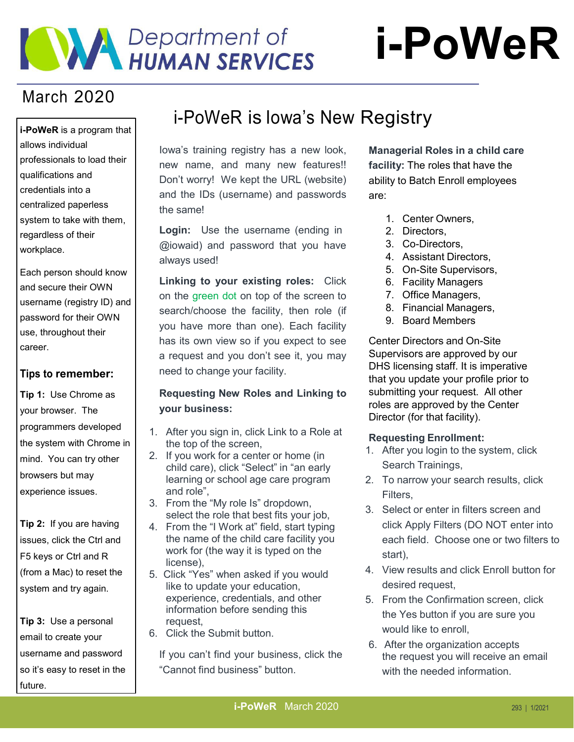# **WAY Department of**

## March 2020

**i-PoWeR** is a program that allows individual professionals to load their qualifications and credentials into a centralized paperless system to take with them, regardless of their workplace.

Each person should know and secure their OWN username (registry ID) and password for their OWN use, throughout their career.

#### **Tips to remember:**

**Tip 1:** Use Chrome as your browser. The programmers developed the system with Chrome in mind. You can try other browsers but may experience issues.

**Tip 2:** If you are having issues, click the Ctrl and F5 keys or Ctrl and R (from a Mac) to reset the system and try again.

**Tip 3:** Use a personal email to create your username and password so it's easy to reset in the future.

## i-PoWeR is Iowa's New Registry

Iowa's training registry has a new look, new name, and many new features!! Don't worry! We kept the URL (website) and the IDs (username) and passwords the same!

**Login:** Use the username (ending in @iowaid) and password that you have always used!

**Linking to your existing roles:** Click on the green dot on top of the screen to search/choose the facility, then role (if you have more than one). Each facility has its own view so if you expect to see a request and you don't see it, you may need to change your facility.

#### **Requesting New Roles and Linking to your business:**

- 1. After you sign in, click Link to a Role at the top of the screen,
- 2. If you work for a center or home (in child care), click "Select" in "an early learning or school age care program and role",
- 3. From the "My role Is" dropdown, select the role that best fits your job,
- 4. From the "I Work at" field, start typing the name of the child care facility you work for (the way it is typed on the license),
- 5. Click "Yes" when asked if you would like to update your education, experience, credentials, and other information before sending this request,
- 6. Click the Submit button.

If you can't find your business, click the "Cannot find business" button.

**Managerial Roles in a child care facility:** The roles that have the ability to Batch Enroll employees are:

- 1. Center Owners,
- 2. Directors,
- 3. Co-Directors,
- 4. Assistant Directors,
- 5. On-Site Supervisors,
- 6. Facility Managers
- 7. Office Managers,
- 8. Financial Managers,
- 9. Board Members

Center Directors and On-Site Supervisors are approved by our DHS licensing staff. It is imperative that you update your profile prior to submitting your request. All other roles are approved by the Center Director (for that facility).

#### **Requesting Enrollment:**

- 1. After you login to the system, click Search Trainings,
- 2. To narrow your search results, click Filters,
- 3. Select or enter in filters screen and click Apply Filters (DO NOT enter into each field. Choose one or two filters to start),
- 4. View results and click Enroll button for desired request,
- 5. From the Confirmation screen, click the Yes button if you are sure you would like to enroll,
- 6. After the organization accepts the request you will receive an email with the needed information.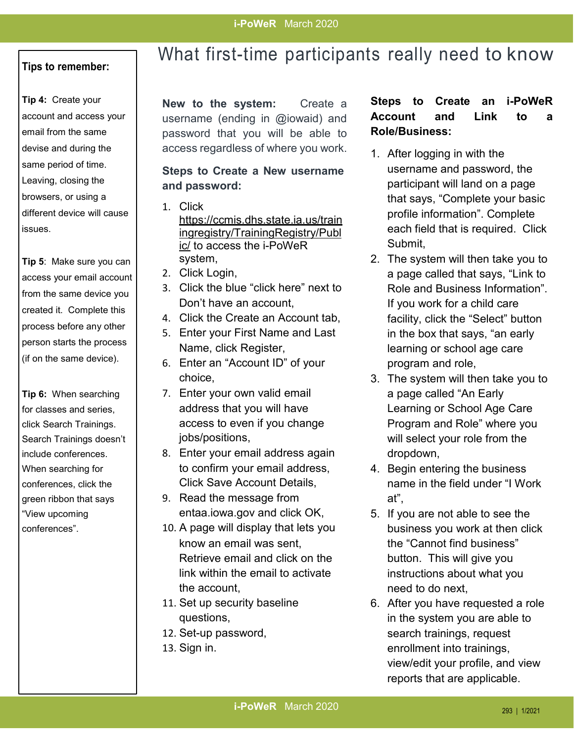#### **Tips to remember:**

**Tip 4:** Create your account and access your email from the same devise and during the same period of time. Leaving, closing the browsers, or using a different device will cause issues.

**Tip 5**: Make sure you can access your email account from the same device you created it. Complete this process before any other person starts the process (if on the same device).

**Tip 6:** When searching for classes and series, click Search Trainings. Search Trainings doesn't include conferences. When searching for conferences, click the green ribbon that says "View upcoming conferences".

## What first-time participants really need to know

**New to the system:** Create a username (ending in @iowaid) and password that you will be able to access regardless of where you work.

#### **Steps to Create a New username and password:**

- 1. Click [https://ccmis.dhs.state.ia.us/train](https://ccmis.dhs.state.ia.us/trainingregistry/TrainingRegistry/Public/) [ingregistry/TrainingRegistry/Publ](https://ccmis.dhs.state.ia.us/trainingregistry/TrainingRegistry/Public/) [ic/](https://ccmis.dhs.state.ia.us/trainingregistry/TrainingRegistry/Public/) to access the i-PoWeR system,
- 2. Click Login,
- 3. Click the blue "click here" next to Don't have an account,
- 4. Click the Create an Account tab,
- 5. Enter your First Name and Last Name, click Register,
- 6. Enter an "Account ID" of your choice,
- 7. Enter your own valid email address that you will have access to even if you change jobs/positions,
- 8. Enter your email address again to confirm your email address, Click Save Account Details,
- 9. Read the message from entaa.iowa.gov and click OK,
- 10. A page will display that lets you know an email was sent, Retrieve email and click on the link within the email to activate the account,
- 11. Set up security baseline questions,
- 12. Set-up password,
- 13. Sign in.

#### **Steps to Create an i-PoWeR Account and Link to a Role/Business:**

- 1. After logging in with the username and password, the participant will land on a page that says, "Complete your basic profile information". Complete each field that is required. Click Submit,
- 2. The system will then take you to a page called that says, "Link to Role and Business Information". If you work for a child care facility, click the "Select" button in the box that says, "an early learning or school age care program and role,
- 3. The system will then take you to a page called "An Early Learning or School Age Care Program and Role" where you will select your role from the dropdown,
- 4. Begin entering the business name in the field under "I Work at",
- 5. If you are not able to see the business you work at then click the "Cannot find business" button. This will give you instructions about what you need to do next,
- 6. After you have requested a role in the system you are able to search trainings, request enrollment into trainings, view/edit your profile, and view reports that are applicable.